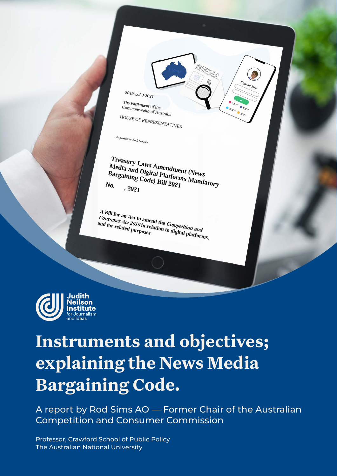

<sup>1</sup> The Parliament of the<br>Commonwealth of Australia HOUSE OF REPRESENTATIVES

As passed by both Houses

*Treasury Laws Amendment (News<br>Media and Digital Platforms Mews*<br><sup>Bargaining Cod Matforms M</sup> *Treasury Laws Amendment (News)<br>Media and Digital Platforms Mandatory*<br>Bargaining Code) Bill 2021<br>Vo. , 2021 Bargaining Code) Bill 2021<br>No. 2021<br>No. 2021 No.  $, 2021$ 

A Bill for an Act to amend the *Competition and*<br>*Consumer Act 2010 in relation to Competition and*<br>and for related purposes <sup>A</sup> Bill for an Act to amend the *Competition and*<br>*Consumer Act 2010* in relation to digital platforms,<br>and for related purposes consumer Act 2010 in related<br>and for related purposes



# **Instruments and objectives; explaining the News Media Bargaining Code.**

A report by Rod Sims AO — Former Chair of the Australian Competition and Consumer Commission

Judith Neilson Institute for Journalism and Ideas 1999 and Ideas 1999 and Ideas 1999 and Ideas 1999 and Ideas 1 Professor, Crawford School of Public Policy The Australian National University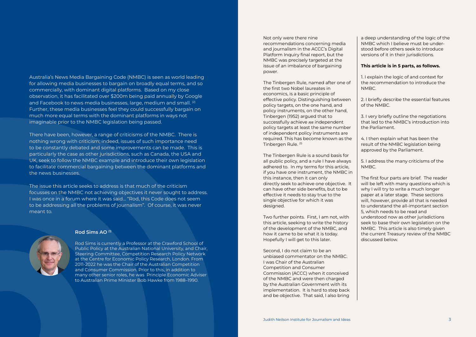Not only were there nine recommendations concerning media and journalism in the ACCC's Digital Platform Inquiry final report, but the NMBC was precisely targeted at the issue of an imbalance of bargaining power.

The Tinbergen Rule, named after one of the first two Nobel laureates in economics, is a basic principle of effective policy. Distinguishing between policy targets, on the one hand, and policy instruments, on the other hand, Tinbergen (1952) argued that to successfully achieve *nn* independent policy targets at least the same number of independent policy instruments are required. This has become known as the Tinbergen Rule. (3)

The Tinbergen Rule is a sound basis for all public policy, and a rule I have always adhered to. In my terms for this article, if you have one instrument, the NMBC in this instance, then it can only directly seek to achieve one objective. It can have other side benefits, but to be effective it needs to stay true to the single objective for which it was designed.

Two further points. First, I am not, with this article, seeking to write the history of the development of the NMBC, and how it came to be what it is today. Hopefully I will get to this later.

Second, I do not claim to be an unbiased commentator on the NMBC. I was Chair of the Australian Competition and Consumer Commission (ACCC) when it conceived of the NMBC and were then charged by the Australian Government with its implementation. It is hard to step back and be objective. That said, I also bring

a deep understanding of the logic of the NMBC which I believe must be understood before others seek to introduce versions of it in their jurisdictions.

#### This article is in 5 parts, as follows.

1. I explain the logic of and context for the recommendation to introduce the NMBC.

2. I briefly describe the essential features of the NMBC.

3. I very briefly outline the negotiations that led to the NMBC's introduction into the Parliament.

4. I then explain what has been the result of the NMBC legislation being approved by the Parliament.

5. I address the many criticisms of the NMBC.

The first four parts are brief. The reader will be left with many questions which is why I will try to write a much longer paper at a later stage. These sections will, however, provide all that is needed to understand the all-important section 5, which needs to be read and understood now as other jurisdictions seek to base their own legislation on the NMBC. This article is also timely given the current Treasury review of the NMBC discussed below.

Australia's News Media Bargaining Code (NMBC) is seen as world leading for allowing media businesses to bargain on broadly equal terms, and so commercially, with dominant digital platforms. Based on my close observation, it has facilitated over \$200m being paid annually by Google and Facebook to news media businesses, large, medium and small. <sup>(2)</sup> Further, these media businesses feel they could successfully bargain on much more equal terms with the dominant platforms in ways not imaginable prior to the NMBC legislation being passed.

There have been, however, a range of criticisms of the NMBC. There is nothing wrong with criticism; indeed, issues of such importance need to be constantly debated and some improvements can be made. This is particularly the case as other jurisdictions, such as Canada, the USA and UK, seek to follow the NMBC example and introduce their own legislation to facilitate commercial bargaining between the dominant platforms and the news businesses.

The issue this article seeks to address is that much of the criticism focusses on the NMBC not achieving objectives it never sought to address. I was once in a forum where it was said… "Rod, this Code does not seem to be addressing all the problems of journalism". Of course, it was never meant to.



#### Rod Sims AO (1)

Rod Sims is currently a Professor at the Crawford School of Public Policy at the Australian National University, and Chair, Steering Committee, Competition Research Policy Network at the Centre for Economic Policy Research, London. From 2011-2022 he was the Chair of the Australian Competition and Consumer Commission. Prior to this, in addition to many other senior roles, he was Principle Economic Adviser to Australian Prime Minister Bob Hawke from 1988–1990.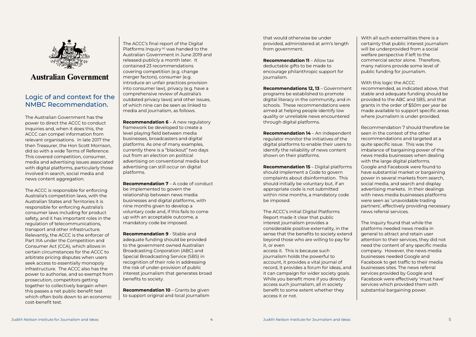

# **Australian Government**

The Australian Government has the power to direct the ACCC to conduct Inquiries and, when it does this, the ACCC can compel information from relevant organisations. In late 2017 the then Treasurer, the Hon Scott Morrison, did so with a wide Terms of Reference. This covered competition, consumer, media and advertising issues associated with digital platforms, particularly those involved in search, social media and news content aggregation.

The ACCC is responsible for enforcing Australia's competition laws, with the Australian States and Territories it is responsible for enforcing Australia's consumer laws including for product safety, and it has important roles in the regulation of telecommunications, transport and other infrastructure. Relevantly, the ACCC is the enforcer of Part IIIA under the Competition and Consumer Act (CCA), which allows in certain circumstances for the ACCC to arbitrate pricing disputes when users seek access to essentially monopoly infrastructure. The ACCC also has the power to authorise, and so exempt from prosecution, competitors getting together to collectively bargain when this passes a net public benefit test which often boils down to an economic cost-benefit test.

**Recommendation 6** – A new regulatory framework be developed to create a level playing field between media businesses, broadcasters and digital platforms. As one of many examples, currently there is a "blackout" two days out from an election on political advertising on conventional media but advertising can still occur on digital platforms.

# Logic of and context for the NMBC Recommendation.

Recommendation 10 - Grants be given to support original and local journalism

The ACCC's final report of the Digital Platforms Inquiry  $(4)$  was handed to the Australian Government in June 2019 and released publicly a month later. It contained 23 recommendations covering competition (e.g. change merger factors), consumer (e.g. introduce an unfair practices provision into consumer law), privacy (e.g. have a comprehensive review of Australia's outdated privacy laws) and other issues, of which nine can be seen as linked to media and journalism, as follows.

Recommendation 7 – A code of conduct be implemented to govern the relationship between news media businesses and digital platforms, with nine months given to develop a voluntary code and, if this fails to come up with an acceptable outcome, a mandatory code be imposed.

Recommendation 9 - Stable and adequate funding should be provided to the government owned Australian Broadcasting Corporation (ABC) and Special Broadcasting Service (SBS) in recognition of their role in addressing the risk of under-provision of public interest journalism that generates broad benefits to society.

that would otherwise be under provided, administered at arm's length from government.

Recommendation 11 – Allow tax deductable gifts to be made to encourage philanthropic support for journalism.

Recommendations 12, 13 – Government programs be established to promote digital literacy in the community, and in schools. These recommendations were aimed at helping people identify low quality or unreliable news encountered through digital platforms.

Recommendation 14 – An independent regulator monitor the initiatives of the digital platforms to enable their users to identify the reliability of news content shown on their platforms.

Recommendation 15 – Digital platforms should implement a Code to govern complaints about disinformation. This should initially be voluntary but, if an appropriate code is not submitted within nine months, a mandatory code be imposed.

The ACCC's initial Digital Platforms Report made it clear that public interest journalism provides a considerable positive externality, in the sense that the benefits to society extend beyond those who are willing to pay for it, or even

access it. This is because such journalism holds the powerful to account, it provides a vital journal of record, it provides a forum for ideas, and it can campaign for wider society goals. While you benefit more if you directly access such journalism, all in society benefit to some extent whether they access it or not.

With all such externalities there is a certainty that public interest journalism will be underprovided from a social welfare perspective if left to the commercial sector alone. Therefore, many nations provide some level of public funding for journalism.

#### With this logic the ACCC

recommended, as indicated above, that stable and adequate funding should be provided to the ABC and SBS, and that grants in the order of \$50m per year be made available to support specific areas where journalism is under provided.

Recommendation 7 should therefore be seen in the context of the other recommendations and targeted at a quite specific issue. This was the imbalance of bargaining power of the news media businesses when dealing with the large digital platforms. Google and Facebook were found to have substantial market or bargaining power in several markets from search, social media, and search and display advertising markets. In their dealings with news media businesses platforms were seen as 'unavoidable trading partners', effectively providing necessary news referral services.

The Inquiry found that while the platforms needed news media in general to attract and retain user attention to their services, they did not need the content of any specific media company. However, the news media businesses needed Google and Facebook to get traffic to their media businesses sites. The news referral services provided by Google and Facebook were effectively 'must have' services which provided them with substantial bargaining power.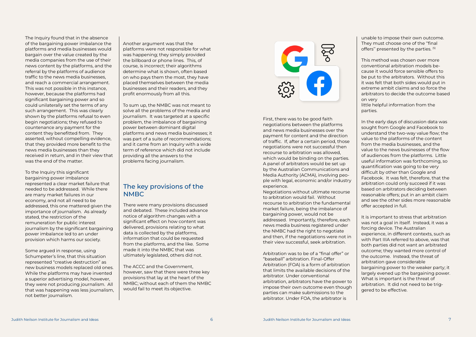The Inquiry found that in the absence of the bargaining power imbalance the platforms and media businesses would bargain over the value created by the media companies from the use of their news content by the platforms, and the referral by the platforms of audience traffic to the news media businesses, and reach a commercial arrangement. This was not possible in this instance, however, because the platforms had significant bargaining power and so could unilaterally set the terms of any such arrangement. This was clearly shown by the platforms refusal to even begin negotiations; they refused to countenance any payment for the content they benefitted from. They asserted, without compelling evidence, that they provided more benefit to the news media businesses than they received in return, and in their view that was the end of the matter.

To the Inquiry this significant bargaining power imbalance represented a clear market failure that needed to be addressed. While there are many market failures in our economy, and not all need to be addressed, this one mattered given the importance of journalism. As already stated, the restriction of the remuneration for public interest journalism by the significant bargaining power imbalance led to an under provision which harms our society.

Some argued in response, using Schumpeter's line, that this situation represented "creative destruction" as new business models replaced old ones. While the platforms may have invented a superior advertising model, however, they were not producing journalism. All that was happening was less journalism, not better journalism.

#### Another argument was that the platforms were not responsible for what was happening; they simply provided the billboard or phone lines. This, of course, is incorrect; their algorithms determine what is shown, often based on who pays them the most, they have placed themselves between the media businesses and their readers, and they profit enormously from all this.

To sum up, the NMBC was not meant to solve all the problems of the media and journalism. It was targeted at a specific problem, the imbalance of bargaining power between dominant digital platforms and news media businesses; it was part of a suite of recommendations; and it came from an Inquiry with a wide term of reference which did not include providing all the answers to the problems facing journalism.

# The key provisions of the NMBC

There were many provisions discussed and debated. These included advance notice of algorithm changes with a significant effect on how content was delivered, provisions relating to what data is collected by the platforms, information that could be requested from the platforms, and the like. Some made it into the NMBC that was ultimately legislated, others did not.

The ACCC and the Government, however, saw that there were three key provisions that lay at the heart of the NMBC; without each of them the NMBC would fail to meet its objective.



First, there was to be good faith negotiations between the platforms and news media businesses over the payment for content and the direction of traffic. If, after a certain period, those negotiations were not successful then recourse to arbitration was allowed, which would be binding on the parties. A panel of arbitrators would be set up by the Australian Communications and Media Authority (ACMA), involving people with legal, economic and/or industry experience.

Negotiations without ultimate recourse to arbitration would fail. Without recourse to arbitration the fundamental market failure, being the imbalance of bargaining power, would not be addressed. Importantly, therefore, each news media business registered under the NMBC had the right to negotiate and then, if the negotiations were not in their view successful, seek arbitration.

Arbitration was to be of a "final offer" or "baseball" arbitration. Final-Offer Arbitration (FOA) is a form of arbitration that limits the available decisions of the arbitrator. Under conventional arbitration, arbitrators have the power to impose their own outcome even though parties can make submissions to the arbitrator. Under FOA, the arbitrator is

unable to impose their own outcome. They must choose one of the ''final offers'' presented by the parties. (5)

This method was chosen over more conventional arbitration models because it would force sensible offers to be put to the arbitrators. Without this it was felt that both sides would put in extreme ambit claims and so force the arbitrators to decide the outcome based on very

little helpful information from the parties.

In the early days of discussion data was sought from Google and Facebook to understand the two-way value flow; the value to the platforms of the content from the media businesses, and the value to the news businesses of the flow of audiences from the platforms. Little useful information was forthcoming, so quantification was going to be very difficult by other than Google and Facebook. It was felt, therefore, that the arbitration could only succeed if it was based on arbitrators deciding between reasonable offers; put in an ambit claim and see the other sides more reasonable offer accepted in full.

It is important to stress that arbitration was not a goal in itself. Instead, it was a forcing device. The Australian experience, in different contexts, such as with Part IIIA referred to above, was that both parties did not want an arbitrated outcome; they wanted more control of the outcome. Instead, the threat of arbitration gave considerable bargaining power to the weaker party; it largely evened up the bargaining power. What is important is the threat of arbitration. It did not need to be triggered to be effective.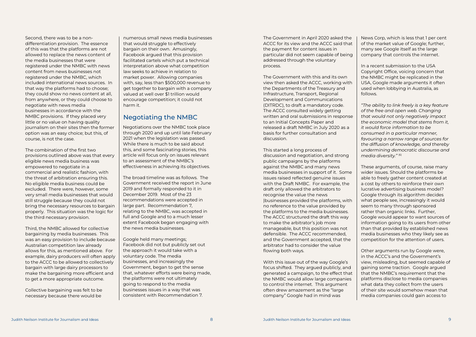Negotiations over the NMBC took place through 2020 and up until late February 2021 when the legislation was passed. While there is much to be said about this, and some fascinating stories, this article will focus only on issues relevant to an assessment of the NMBC's effectiveness in achieving its objectives.

The broad timeline was as follows. The Government received the report in June 2019 and formally responded to it in December 2019. Most of the 23 recommendations were accepted in large part. Recommendation 7, relating to the NMBC, was accepted in full and Google and to a much lesser extent Facebook began engaging with the news media businesses.

Google held many meetings; Facebook did not but publicly set out the approach it would take with a voluntary code. The media businesses, and increasingly the Government, began to get the sense that, whatever efforts were being made, the platforms were not ultimately going to respond to the media businesses issues in a way that was consistent with Recommendation 7.

### Negotiating the NMBC

The Government in April 2020 asked the ACCC for its view and the ACCC said that the payment for content issues in particular did not seem capable of being addressed through the voluntary process.

The Government with this and its own view then asked the ACCC, working with the Departments of the Treasury and Infrastructure, Transport, Regional Development and Communications (DITRDC), to draft a mandatory code. The ACCC consulted widely getting written and oral submissions in response to an Initial Concepts Paper and released a draft NMBC in July 2020 as a basis for further consultation and discussion.

This started a long process of discussion and negotiation, and strong public campaigns by the platforms against the NMBC and many news media businesses in support of it. Some issues raised reflected genuine issues with the Draft NMBC. For example, the draft only allowed the arbitrators to recognise the value the news |businesses provided the platforms, with no reference to the value provided by the platforms to the media businesses. The ACCC structured the draft this way to make the arbitrator's job more manageable, but this position was not defensible. The ACCC recommended, and the Government accepted, that the arbitrator had to consider the value flowing both ways.

With this issue out of the way Google's focus shifted. They argued publicly, and generated a campaign, to the effect that the NMBC would allow large companies to control the internet. This argument often drew amazement as the "large company" Google had in mind was

News Corp, which is less that 1 per cent of the market value of Google; further, many see Google itself as the large company that controls the internet.

In a recent submission to the USA Copyright Office, voicing concern that the NMBC might be replicated in the USA, Google made arguments it often used when lobbying in Australia, as follows.

*"The ability to link freely is a key feature of the free and open web. Changing that would not only negatively impact the economic model that stems from it, it would force information to be consumed in a particular manner, favouring a narrow range of sources for the diffusion of knowledge, and thereby undermining democratic discourse and media diversity."* (6)

These arguments, of course, raise many wider issues. Should the platforms be able to freely gather content created at a cost by others to reinforce their own lucrative advertising business model? Google through its algorithm decides what people see, increasingly it would seem to many through sponsored rather than organic links. Further, Google would appear to want sources of information going to its users from other than that provided by established news media businesses who they likely see as competition for the attention of users.

Other arguments run by Google were, in the ACCC's and the Government's view, misleading, but seemed capable of gaining some traction. Google argued that the NMBC's requirement that the platforms disclose to media companies what data they collect from the users of their site would somehow mean that media companies could gain access to

Second, there was to be a nondifferentiation provision. The essence of this was that the platforms are not allowed to replace the news content of the media businesses that were registered under the NMBC with news content from news businesses not registered under the NMBC, which included international news sources. In that way the platforms had to choose; they could show no news content at all, from anywhere, or they could choose to negotiate with news media businesses in accordance with the NMBC provisions. If they placed very little or no value on having quality journalism on their sites then the former option was an easy choice; but this, of course, is not the case.

The combination of the first two provisions outlined above was that every eligible news media business was empowered to negotiate in a commercial and realistic fashion, with the threat of arbitration ensuring this. No eligible media business could be excluded. There were, however, some very small media businesses that would still struggle because they could not bring the necessary resources to bargain properly. This situation was the logic for the third necessary provision.

Third, the NMBC allowed for collective bargaining by media businesses. This was an easy provision to include because Australian competition law already allows for this, as mentioned above. For example, dairy producers will often apply to the ACCC to be allowed to collectively bargain with large dairy processors to make the bargaining more efficient and to get a more appropriate outcome.

Collective bargaining was felt to be necessary because there would be

numerous small news media businesses that would struggle to effectively bargain on their own. Amusingly, Facebook argued that this provision facilitated cartels which put a technical interpretation above what competition law seeks to achieve in relation to market power. Allowing companies with, say, less than \$500,000 revenue to get together to bargain with a company valued at well over \$1 trillion would encourage competition; it could not harm it.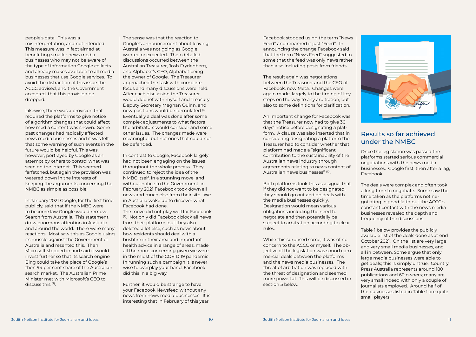

people's data. This was a misinterpretation, and not intended. This measure was in fact aimed at benefitting smaller news media businesses who may not be aware of the type of information Google collects and already makes available to all media businesses that use Google services. To avoid the distraction of this issue the ACCC advised, and the Government accepted, that this provision be dropped.

Likewise, there was a provision that required the platforms to give notice of algorithm changes that could affect how media content was shown. Some past changes had radically affected news media businesses and it was felt that some warning of such events in the future would be helpful. This was, however, portrayed by Google as an attempt by others to control what was seen on the internet. This seemed farfetched, but again the provision was watered down in the interests of keeping the arguments concerning the NMBC as simple as possible.

In January 2021 Google, for the first time publicly, said that if the NMBC were to become law Google would remove Search from Australia. This statement drew enormous attention in Australia and around the world. There were many reactions. Most saw this as Google using its muscle against the Government of Australia and resented this. Then Microsoft stepped in and said it would invest further so that its search engine Bing could take the place of Google's then 94 per cent share of the Australian search market. The Australian Prime Minister met with Microsoft's CEO to discuss this (7).

The sense was that the reaction to Google's announcement about leaving Australia was not going as Google wanted or expected. Then detailed discussions occurred between the Australian Treasurer, Josh Frydenberg, and Alphabet's CEO, Alphabet being the owner of Google. The Treasurer approached the task with complete focus and many discussions were held. After each discussion the Treasurer would debrief with myself and Treasury Deputy Secretary Meghan Quinn, and new positions would be formulated (8). Eventually a deal was done after some complex adjustments to what factors the arbitrators would consider and some other issues. The changes made were meaningful, but not ones that could not be defended.

In contrast to Google, Facebook largely had not been engaging on the issues throughout the whole process. They continued to reject the idea of the NMBC itself. In a stunning move, and without notice to the Government, in February 2021 Facebook took down all news and much else from their site. We in Australia woke up to discover what Facebook had done. The move did not play well for Facebook (9). Not only did Facebook block all news from their platform, but they also deleted a lot else, such as news about how residents should deal with a bushfire in their area and important health advice in a range of areas, made all the more concerning given we were in the midst of the COVID 19 pandemic. In running such a campaign it is never wise to overplay your hand; Facebook did this in a big way.

Further, it would be strange to have your Facebook Newsfeed without any news from news media businesses. It is interesting that in February of this year

Facebook stopped using the term "News Feed" and renamed it just "Feed". In announcing the change Facebook said that the term "News Feed" suggested to some that the feed was only news rather than also including posts from friends.

The result again was negotiations between the Treasurer and the CEO of Facebook, now Meta. Changes were again made, largely to the timing of key steps on the way to any arbitration, but also to some definitions for clarification.

An important change for Facebook was that the Treasurer now had to give 30 days' notice before designating a platform. A clause was also inserted that in considering designating a platform the Treasurer had to consider whether that platform had made a "significant contribution to the sustainability of the Australian news industry through agreements relating to news content of Australian news businesses" (10).

Both platforms took this as a signal that if they did not want to be designated, they should go out and do deals with the media businesses quickly. Designation would mean various obligations including the need to negotiate and then potentially be subject to arbitration according to clear rules.

While this surprised some, it was of no concern to the ACCC or myself. The objective of the legislation was sound commercial deals between the platforms and the news media businesses. The threat of arbitration was replaced with the threat of designation and seemed more powerful. This will be discussed in section 5 below.

#### Results so far achieved under the NMBC

Once the legislation was passed the platforms started serious commercial negotiations with the news media businesses. Google first, then after a lag, Facebook.

The deals were complex and often took a long time to negotiate. Some saw the time taken as the platforms not negotiating in good faith but the ACCC's constant contact with the news media businesses revealed the depth and frequency of the discussions.

Table 1 below provides the publicly available list of the deals done as at end October 2021. On the list are very large and very small media businesses, and all in between. Some argue that only large media businesses were able to get deals; this is simply untrue. Country Press Australia represents around 180 publications and 60 owners; many are very small indeed with only a couple of journalists employed. Around half of the businesses listed in Table 1 are quite small players.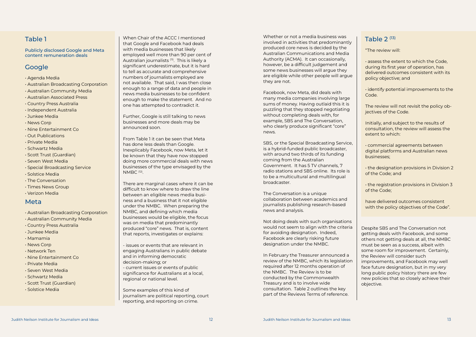#### Meta

Publicly disclosed Google and Meta content remuneration deals

# **Google**

- Agenda Media
- Australian Broadcasting Corporation
- Australian Community Media
- Australian Associated Press
- Country Press Australia
- Independent Australia
- Junkee Media
- News Corp
- Nine Entertainment Co
- Out Publications
- Private Media
- Schwartz Media
- Scott Trust (Guardian)
- Seven West Media
- Special Broadcasting Service
- Solstice Media
- The Conversation
- Times News Group
- Verizon Media

"The review will:

• assess the extent to which the Code, during its first year of operation, has delivered outcomes consistent with its policy objective; and

• identify potential improvements to the Code.

The review will not revisit the policy objectives of the Code.

Initially, and subject to the results of consultation, the review will assess the extent to which:

• commercial agreements between digital platforms and Australian news businesses;

 $\begin{array}{|c|c|c|c|}\hline \text{Table 1}\end{array} \hspace{10mm} \begin{array}{|c|c|c|c|c|}\hline \text{1}\end{array} \hspace{10mm} \begin{array}{|c|c|c|c|c|c|}\hline \text{1}\end{array} \hspace{10mm} \begin{array}{|c|c|c|c|c|c|}\hline \text{1}\end{array} \hspace{10mm} \begin{array}{|c|c|c|c|c|c|}\hline \text{1}\end{array} \hspace{10mm} \begin{array}{|c|c|c|c|c|c|}\hline \text{1}\end{array} \hspace{$ When Chair of the ACCC I mentioned that Google and Facebook had deals with media businesses that likely employed well more than 90 per cent of Australian journalists (11). This is likely a significant underestimate, but it is hard to tell as accurate and comprehensive numbers of journalists employed are not available. That said, I was then close enough to a range of data and people in news media businesses to be confident enough to make the statement. And no one has attempted to contradict it.

> • the designation provisions in Division 2 of the Code; and

• the registration provisions in Division 3 of the Code;

have delivered outcomes consistent with the policy objectives of the Code".

Despite SBS and The Conversation not getting deals with Facebook, and some others not getting deals at all, the NMBC must be seen as a success, albeit with some room for improvement. Certainly, the Review will consider such improvements, and Facebook may well face future designation, but in my very long public policy history there are few new policies that so closely achieve their objective.

Further, Google is still talking to news businesses and more deals may be announced soon.

From Table 1 it can be seen that Meta has done less deals than Google. Inexplicably Facebook, now Meta, let it be known that they have now stopped doing more commercial deals with news businesses of the type envisaged by the NMBC (12).

There are marginal cases where it can be difficult to know where to draw the line between an eligible news media business and a business that it not eligible under the NMBC. When preparing the NMBC, and defining which media businesses would be eligible, the focus was on media that predominantly produced "core" news. That is, content that reports, investigates or explains:

- issues or events that are relevant in engaging Australians in public debate and in informing democratic decision-making; or - current issues or events of public significance for Australians at a local, regional or national level.

Some examples of this kind of journalism are political reporting, court reporting, and reporting on crime.

- Australian Broadcasting Corporation
- Australian Community Media
- Country Press Australia
- Junkee Media
- Mamamia
- News Corp
- Network Ten
- Nine Entertainment Co
- Private Media
- Seven West Media
- Schwartz Media
- Scott Trust (Guardian)
- Solstice Media

Whether or not a media business was produced core news is decided by the Australian Communications and Media Authority (ACMA). It can occasionally, however, be a difficult judgement and some news businesses will argue they are eligible while other people will argue they are not.

Facebook, now Meta, did deals with many media companies involving large sums of money. Having outlaid this it is puzzling that they stopped negotiating without completing deals with, for example, SBS and The Conversation, who clearly produce significant "core" news.

SBS, or the Special Broadcasting Service, is a hybrid-funded public broadcaster, with around two thirds of its funding coming from the Australian Government. It has 5 TV channels, 7 radio stations and SBS online. Its role is to be a multicultural and multilingual broadcaster.

The Conversation is a unique collaboration between academics and journalists publishing research-based news and analysis.

Not doing deals with such organisations would not seem to align with the criteria for avoiding designation. Indeed, Facebook are clearly risking future designation under the NMBC.

In February the Treasurer announced a review of the NMBC, which its legislation required after 12 months operation of the NMBC. The Review is to be conducted by the Commonwealth Treasury and is to involve wide consultation. Table 2 outlines the key part of the Reviews Terms of reference.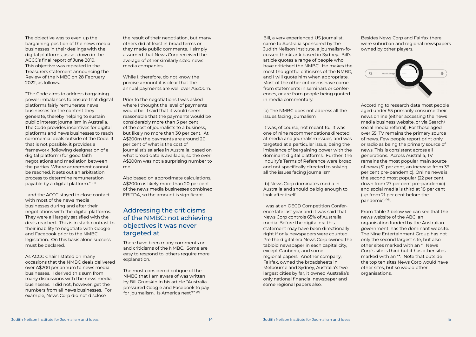The objective was to even up the bargaining position of the news media businesses in their dealings with the digital platforms, as set down in the ACCC's final report of June 2019. This objective was repeated in the Treasurers statement announcing the Review of the NMBC on 28 February 2022, as follows.

"The Code aims to address bargaining power imbalances to ensure that digital platforms fairly remunerate news businesses for the content they generate, thereby helping to sustain public interest journalism in Australia. The Code provides incentives for digital platforms and news businesses to reach commercial deals outside of the Code. If that is not possible, it provides a framework (following designation of a digital platform) for good faith negotiations and mediation between the parties. Where agreement cannot be reached, it sets out an arbitration process to determine remuneration payable by a digital platform." (14)

I and the ACCC stayed in close contact with most of the news media businesses during and after their negotiations with the digital platforms. They were all largely satisfied with the deals reached. This is in stark contrast to their inability to negotiate with Google and Facebook prior to the NMBC legislation. On this basis alone success must be declared.

As ACCC Chair I stated on many occasions that the NMBC deals delivered over A\$200 per annum to news media businesses. I derived this sum from many discussions with the news media businesses. I did not, however, get the numbers from all news businesses. For example, News Corp did not disclose

the result of their negotiation, but many others did at least in broad terms or they made public comments. I simply assumed that News Corp received the average of other similarly sized news media companies.

While I, therefore, do not know the precise amount it is clear that the annual payments are well over A\$200m.

Prior to the negotiations I was asked where I thought the level of payments would be. I said that it would seem reasonable that the payments would be considerably more than 5 per cent of the cost of journalists to a business, but likely no more than 30 per cent. At A\$200m the payments are around 20 per cent of what is the cost of journalist's salaries in Australia, based on what broad data is available, so the over A\$200m was not a surprising number to me.

Also based on approximate calculations, A\$200m is likely more than 20 per cent of the news media businesses combined EBITDA, so the amount is significant.

### Addressing the criticisms of the NMBC: not achieving objectives it was never targeted at

There have been many comments on and criticisms of the NMBC. Some are easy to respond to, others require more explanation.

The most considered critique of the NMBC that I am aware of was written by Bill Grueskin in his article "Australia pressured Google and Facebook to pay for journalism. Is America next?" (15)

Bill, a very experienced US journalist, came to Australia sponsored by the Judith Neilson Institute, a journalism-focussed thinktank based in Sydney. Bill's article quotes a range of people who have criticised the NMBC. He makes the most thoughtful criticisms of the NMBC, and I will quote him when appropriate. Most of the other criticisms have come from statements in seminars or conferences, or are from people being quoted in media commentary.

(a) The NMBC does not address all the issues facing journalism

It was, of course, not meant to. It was one of nine recommendations directed at media and journalism issues, and was targeted at a particular issue, being the imbalance of bargaining power with the dominant digital platforms. Further, the Inquiry's Terms of Reference were broad and not specifically directed to solving all the issues facing journalism.

(b) News Corp dominates media in Australia and should be big enough to look after itself.

I was at an OECD Competition Conference late last year and it was said that News Corp controls 65% of Australia media. Before the digital era this statement may have been directionally right if only newspapers were counted. Pre the digital era News Corp owned the tabloid newspaper in each capital city, except Canberra, and some regional papers. Another company, Fairfax, owned the broadsheets in Melbourne and Sydney, Australia's two largest cities by far, it owned Australia's only national financial newspaper and some regional papers also.

Besides News Corp and Fairfax there were suburban and regional newspapers owned by other players.



According to research data most people aged under 55 primarily consume their news online (either accessing the news media business website, or via Search/ social media referral). For those aged over 55, TV remains the primary source of news. Few people report print only or radio as being the primary source of news. This is consistent across all generations. Across Australia, TV remains the most popular main source of news (51 per cent, an increase from 39 per cent pre-pandemic). Online news is the second most popular (22 per cent, down from 27 per cent pre-pandemic) and social media is third at 18 per cent (up from 21 per cent before the pandemic) (16).

From Table 3 below we can see that the news website of the ABC, an organisation funded by the Australian government, has the dominant website. The Nine Entertainment Group has not only the second largest site, but also other sites marked with an \*. News Corp's site is third but it has other sites marked with an \*\*. Note that outside the top ten sites News Corp would have other sites, but so would other organisations.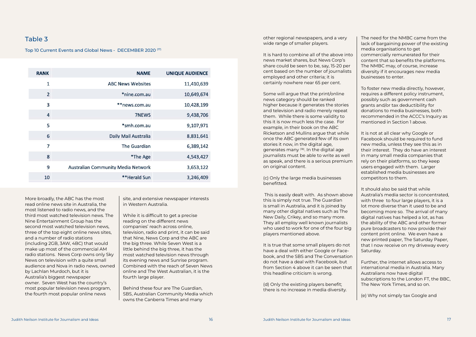#### Table 3

Top 10 Current Events and Global News - DECEMBER 2020 (17)

| <b>RANK</b>    | <b>NAME</b>                        | <b>UNIQUE AUDIENCE</b> |
|----------------|------------------------------------|------------------------|
| $\mathbf{1}$   | <b>ABC News Websites</b>           | 11,410,639             |
| $\overline{2}$ | *nine.com.au                       | 10,649,674             |
| 3              | **news.com.au                      | 10,428,199             |
| $\overline{4}$ | <b>7NEWS</b>                       | 9,438,706              |
| 5              | *smh.com.au                        | 9,107,971              |
| 6              | Daily Mail Australia               | 8,831,641              |
| 7              | <b>The Guardian</b>                | 6,389,142              |
| 8              | *The Age                           | 4,543,427              |
| 9              | Australian Community Media Network | 3,653,122              |
| 10             | **Herald Sun                       | 3,246,409              |

More broadly, the ABC has the most read online news site in Australia, the most listened to radio news, and the third most watched television news. The Nine Entertainment Group has the second most watched television news, three of the top eight online news sites, and a number of radio stations (including 2GB, 3AW, 4BC) that would make up most of the commercial AM radio stations. News Corp owns only Sky News on television with a quite small audience and Nova in radio news, owned by Lachlan Murdoch, but it is Australia's biggest newspaper owner. Seven West has the country's most popular television news program, the fourth most popular online news

site, and extensive newspaper interests in Western Australia.

While it is difficult to get a precise reading on the different news companies' reach across online, television, radio and print, it can be said that Nine, News Corp and the ABC are the big three. While Seven West is a little behind the big three, it has the most watched television news through its evening news and Sunrise program. Combined with the reach of Seven News online and The West Australian, it is the fourth large player.

Behind these four are The Guardian, SBS, Australian Community Media which owns the Canberra Times and many

other regional newspapers, and a very wide range of smaller players.

It is hard to combine all of the above into news market shares, but News Corp's share could be seen to be, say, 15-20 per cent based on the number of journalists employed and other criteria; it is certainly nowhere near 65 per cent.

Some will argue that the print/online news category should be ranked higher because it generates the stories and television and radio merely repeat them. While there is some validity to this it is now much less the case. For example, in their book on the ABC Ricketson and Mullins argue that while once the ABC generated few of its own stories it now, in the digital age, generates many (18). In the digital age journalists must be able to write as well as speak, and there is a serious premium on original content.

(c) Only the large media businesses benefitted.

 This is easily dealt with. As shown above this is simply not true. The Guardian is small in Australia, and it is joined by many other digital natives such as The New Daily, Crikey, and so many more. They all employ well known journalists who used to work for one of the four big players mentioned above.

It is true that some small players do not have a deal with either Google or Facebook, and the SBS and The Conversation do not have a deal with Facebook, but from Section 4 above it can be seen that this headline criticism is wrong.

(d) Only the existing players benefit; there is no increase in media diversity. The need for the NMBC came from the lack of bargaining power of the existing media organisations to get commercially remunerated for their content that so benefits the platforms. The NMBC may, of course, increase diversity if it encourages new media businesses to enter.

To foster new media directly, however, requires a different policy instrument, possibly such as government cash grants and/or tax deductibility for donations to media businesses, both recommended in the ACCC's Inquiry as mentioned in Section 1 above.

It is not at all clear why Google or Facebook should be required to fund new media, unless they see this as in their interest. They do have an interest in many small media companies that rely on their platforms, so they keep users engaged with them. Larger established media businesses are competitors to them.

It should also be said that while Australia's media sector is concentrated, with three to four large players, it is a lot more diverse than it used to be and becoming more so. The arrival of many digital natives has helped a lot, as has the ability of the ABC and other former pure broadcasters to now provide their content print online. We even have a new printed paper, The Saturday Paper, that I now receive on my driveway every Saturday.

Further, the internet allows access to international media in Australia. Many Australians now have digital subscriptions to the London FT, the BBC, The New York Times, and so on.

(e) Why not simply tax Google and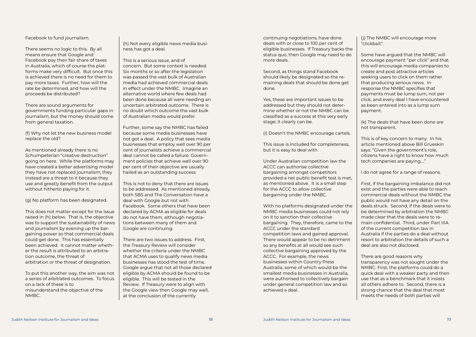Facebook to fund journalism.

There seems no logic to this. By all means ensure that Google and Facebook pay their fair share of taxes in Australia, which of course the platforms make very difficult. But once this is achieved there is no need for them to pay more taxes. Further, how will the rate be determined, and how will the proceeds be distributed?

There are sound arguments for governments funding particular gaps in journalism, but the money should come from general taxation.

(f) Why not let the new business model replace the old?

As mentioned already there is no Schumpeterian "creative destruction" going on here. While the platforms may have created a better advertising model they have not replaced journalism; they instead are a threat to it because they use and greatly benefit from the output without hitherto paying for it.

(g) No platform has been designated.

This does not matter except for the issue raised in (h) below. That is, the objective was to support the sustainability of news and journalism by evening up the bargaining power so that commercial deals could get done. This has essentially been achieved. It cannot matter whether the result is attributed to an arbitration outcome, the threat of arbitration or the threat of designation.

To put this another way, the aim was not a series of arbitrated outcomes. To focus on a lack of these is to misunderstand the objective of the NMBC.

(h) Not every eligible news media business has got a deal.

This is a serious issue, and of concern. But some context is needed. Six months or so after the legislation was passed the vast bulk of Australian media had achieved commercial deals in effect under the NMBC. Imagine an alternative world where few deals had been done because all were needing an uncertain arbitrated outcome. There is no doubt which outcome the vast bulk of Australian media would prefer.

Further, some say the NMBC has failed because some media businesses have not got a deal. A policy that sees media businesses that employ well over 90 per cent of journalists achieve a commercial deal cannot be called a failure. Government policies that achieve well over 90 per cent of their objective are usually hailed as an outstanding success.

This is not to deny that there are issues to be addressed. As mentioned already, both SBS and The Conversation have a deal with Google but not with Facebook. Some others that have been declared by ACMA as eligible for deals do not have them, although negotiations between many of them and Google are continuing.

There are two issues to address. First, the Treasury Review will consider whether the criteria under the NMBC that ACMA uses to qualify news media businesses has stood the test of time. Google argue that not all those declared eligible by ACMA should be found to be eligible. This will be tested in the Review. If Treasury were to align with the Google view then Google may well, at the conclusion of the currently

continuing negotiations, have done deals with or close to 100 per cent of eligible businesses. If Treasury backs the status quo, then Google may need to do more deals.

Second, as things stand Facebook should likely be designated so the remaining deals that should be done get done.

Yes, these are important issues to be addressed but they should not determine whether or not the NMBC can be classified as a success at this very early stage; it clearly can be.

(i) Doesn't the NMBC encourage cartels.

This issue is included for completeness, but it is easy to deal with.

Under Australian competition law the ACCC can authorise collective bargaining amongst competitors provided a net public benefit test is met, as mentioned above. It is a small step for the ACCC to allow collective bargaining under the NMBC.

With no platforms designated under the NMBC media businesses could not rely on it to sanction their collective bargaining. They, therefore, came to the ACCC under the standard competition laws and gained approval. There would appear to be no detriment so any benefits at all would see such collective bargaining approved by the ACCC. For example, the news businesses within Country Press Australia, some of which would be the smallest media businesses in Australia, were authorised to collectively bargain under general competition law and so achieved a deal.

(j) The NMBC will encourage more "clickbait".

Some have argued that the NMBC will encourage payment "per click" and that this will encourage media companies to create and post attractive articles seeking users to click on them rather that producing serious news. In response the NMBC specifies that payments must be lump sum, not per click, and every deal I have encountered as been entered into as a lump sum payment.

(k) The deals that have been done are not transparent.

This is of key concern to many. In his article mentioned above Bill Grueskin says: "Given the government's role, citizens have a right to know how much tech companies are paying…."

I do not agree for a range of reasons.

First, if the bargaining imbalance did not exist and the parties were able to reach commercial deals without the NMBC the public would not have any detail on the deals struck. Second, if the deals were to be determined by arbitration the NMBC made clear that the deals were to remain confidential. Third, under Part IIIA of the current competition law in Australia if the parties do a deal without resort to arbitration the details of such a deal are also not disclosed.

There are good reasons why transparency was not sought under the NMBC. First, the platforms could do a quick deal with a weaker party and then use that as a benchmark that it insists all others adhere to. Second, there is a strong chance that the deal that most

meets the needs of both parties will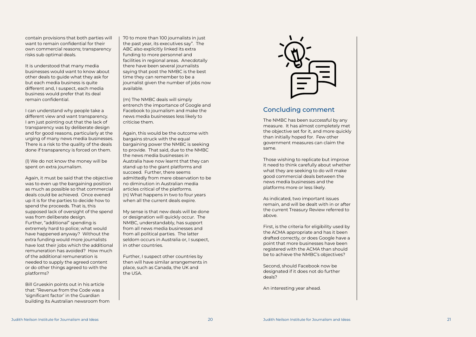contain provisions that both parties will want to remain confidential for their own commercial reasons; transparency risks sub optimal deals.

It is understood that many media businesses would want to know about other deals to guide what they ask for but each media business is quite different and, I suspect, each media business would prefer that its deal remain confidential.

I can understand why people take a different view and want transparency. I am just pointing out that the lack of transparency was by deliberate design and for good reasons, particularly at the urging of many news media businesses. There is a risk to the quality of the deals done if transparency is forced on them.

(l) We do not know the money will be spent on extra journalism.

Again, it must be said that the objective was to even up the bargaining position as much as possible so that commercial deals could be achieved. Once evened up it is for the parties to decide how to spend the proceeds. That is, this supposed lack of oversight of the spend was from deliberate design. Further, "additional" spending is extremely hard to police; what would have happened anyway? Without the extra funding would more journalists have lost their jobs which the additional remuneration has avoided? How much of the additional remuneration is needed to supply the agreed content or do other things agreed to with the platforms?

Bill Grueskin points out in his article that: "Revenue from the Code was a 'significant factor' in the Guardian building its Australian newsroom from

#### Concluding comment

The NMBC has been successful by any measure. It has almost completely met the objective set for it, and more quickly than initially hoped for. Few other government measures can claim the same.

Those wishing to replicate but improve it need to think carefully about whether what they are seeking to do will make good commercial deals between the news media businesses and the platforms more or less likely.

As indicated, two important issues remain, and will be dealt with in or after the current Treasury Review referred to above.

First, is the criteria for eligibility used by the ACMA appropriate and has it been drafted correctly, or does Google have a point that more businesses have been registered with the ACMA than should be to achieve the NMBC's objectives?

Second, should Facebook now be designated if it does not do further deals?

An interesting year ahead.

70 to more than 100 journalists in just the past year, its executives say". The ABC also explicitly linked its extra funding to more personnel and facilities in regional areas. Anecdotally there have been several journalists saying that post the NMBC is the best time they can remember to be a journalist given the number of jobs now available.

(m) The NMBC deals will simply entrench the importance of Google and Facebook to journalism and make the news media businesses less likely to criticise them.

Again, this would be the outcome with bargains struck with the equal bargaining power the NMBC is seeking to provide. That said, due to the NMBC the news media businesses in Australia have now learnt that they can stand up to the giant platforms and succeed. Further, there seems admittedly from mere observation to be no diminution in Australian media articles critical of the platforms. (n) What happens in two to four years when all the current deals expire.

My sense is that new deals will be done or designation will quickly occur. The NMBC, understandably, has support from all news media businesses and from all political parties. The latter seldom occurs in Australia or, I suspect, in other countries.

Further, I suspect other countries by then will have similar arrangements in place, such as Canada, the UK and the USA.

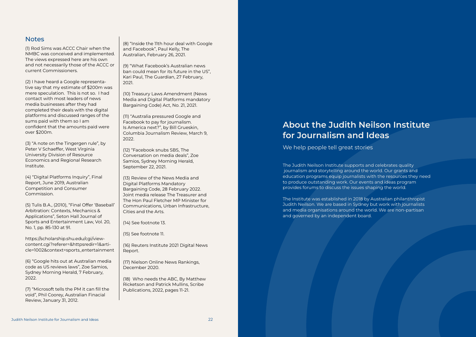#### **Notes**

(1) Rod Sims was ACCC Chair when the NMBC was conceived and implemented. The views expressed here are his own and not necessarily those of the ACCC or current Commissioners.

(2) I have heard a Google representa tive say that my estimate of \$200m was mere speculation. This is not so. I had contact with most leaders of news media businesses after they had completed their deals with the digital platforms and discussed ranges of the sums paid with them so I am confident that the amounts paid were over \$200m.

(3) "A note on the Tingergen rule", by Peter V Schaeffer, West Virginia University Division of Resource Economics and Regional Research Institute.

(4) "Digital Platforms Inquiry", Final Report, June 2019, Australian Competition and Consumer Commission.

(5) Tulis B.A., (2010), "Final Offer 'Baseball' Arbitration: Contexts, Mechanics & Applications", Seton Hall Journal of Sports and Entertainment Law, Vol. 20, No. 1, pp. 85-130 at 91.

https://scholarship.shu.edu/cgi/view content.cgi?referer=&httpsredir=1&arti cle=1002&context=sports\_entertainment

(6) "Google hits out at Australian media code as US reviews laws", Zoe Samios, Sydney Morning Herald, 7 February, 2022.

(7) "Microsoft tells the PM it can fill the void", Phil Coorey, Australian Finacial Review, January 31, 2012.

(8) "Inside the 11th hour deal with Google and Facebook", Paul Kelly, The Australian, February 26, 2021.

(9) "What Facebook's Australian news ban could mean for its future in the US", Kari Paul, The Guardian, 27 February, 2021.

(10) Treasury Laws Amendment (News Media and Digital Platforms mandatory Bargaining Code) Act, No. 21, 2021.

(11) "Australia pressured Google and Facebook to pay for journalism. Is America next?", by Bill Grueskin, Columbia Journalism Review, March 9, 2022.

(12) "Facebook snubs SBS, The Conversation on media deals", Zoe Samios, Sydney Morning Herald, September 22, 2021.

(13) Review of the News Media and Digital Platforms Mandatory Bargaining Code, 28 February 2022. Joint media release The Treasurer and The Hon Paul Fletcher MP Minister for Communications, Urban Infrastructure, Cities and the Arts.

(14) See footnote 13.

(15) See footnote 11.

(16) Reuters Institute 2021 Digital News Report.

(17) Nielson Online News Rankings, December 2020.

(18) Who needs the ABC, By Matthew Ricketson and Patrick Mullins, Scribe Publications, 2022, pages 11-21.

The Judith Neilson Institute supports and celebrates quality journalism and storytelling around the world. Our grants and education programs equip journalists with the resources they need to produce outstanding work. Our events and ideas program provides forums to discuss the issues shaping the world.

The Institute was established in 2018 by Australian philanthropist Judith Neilson. We are based in Sydney but work with journalists and media organisations around the world. We are non-partisan and governed by an independent board.

# About the Judith Neilson Institute for Journalism and Ideas

We help people tell great stories